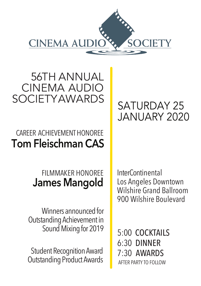

56TH ANNUAL CINEMA AUDIO SOCIETYAWARDS

## CAREER ACHIEVEMENTHONOREE **Tom Fleischman CAS**

### FILMMAKER HONOREE **James Mangold**

Winners announced for Outstanding Achievement in Sound Mixing for 2019

Student Recognition Award Outstanding Product Awards

# SATURDAY 25 JANUARY 2020

InterContinental Los Angeles Downtown Wilshire Grand Ballroom 900 Wilshire Boulevard

5:00 COCKTAILS 6:30 DINNER 7:30 AWARDSAFTER PARTY TO FOLLOW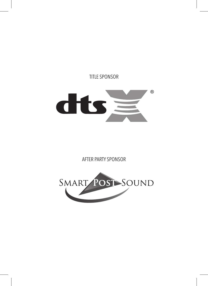TITLE SPONSOR



AFTER PARTY SPONSOR